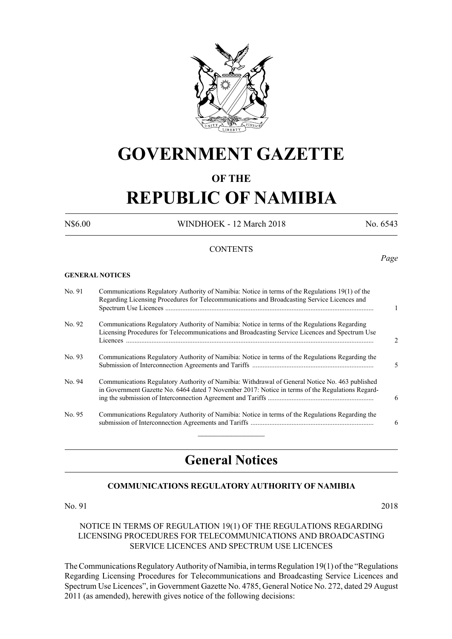

## **GOVERNMENT GAZETTE**

### **OF THE**

# **REPUBLIC OF NAMIBIA**

N\$6.00 WINDHOEK - 12 March 2018 No. 6543

*Page*

#### **CONTENTS**

#### **GENERAL NOTICES**

| No. 91 | Communications Regulatory Authority of Namibia: Notice in terms of the Regulations 19(1) of the<br>Regarding Licensing Procedures for Telecommunications and Broadcasting Service Licences and     |                |
|--------|----------------------------------------------------------------------------------------------------------------------------------------------------------------------------------------------------|----------------|
| No. 92 | Communications Regulatory Authority of Namibia: Notice in terms of the Regulations Regarding<br>Licensing Procedures for Telecommunications and Broadcasting Service Licences and Spectrum Use     | $\mathfrak{D}$ |
| No. 93 | Communications Regulatory Authority of Namibia: Notice in terms of the Regulations Regarding the                                                                                                   | 5              |
| No. 94 | Communications Regulatory Authority of Namibia: Withdrawal of General Notice No. 463 published<br>in Government Gazette No. 6464 dated 7 November 2017: Notice in terms of the Regulations Regard- | 6              |
| No. 95 | Communications Regulatory Authority of Namibia: Notice in terms of the Regulations Regarding the                                                                                                   | 6              |

### **General Notices**

#### **COMMUNICATIONS REGULATORY AUTHORITY OF NAMIBIA**

No. 91 2018

#### NOTICE IN TERMS OF REGULATION 19(1) OF THE REGULATIONS REGARDING LICENSING PROCEDURES FOR TELECOMMUNICATIONS AND BROADCASTING SERVICE LICENCES AND SPECTRUM USE LICENCES

The Communications Regulatory Authority of Namibia, in terms Regulation 19(1) of the "Regulations Regarding Licensing Procedures for Telecommunications and Broadcasting Service Licences and Spectrum Use Licences", in Government Gazette No. 4785, General Notice No. 272, dated 29 August 2011 (as amended), herewith gives notice of the following decisions: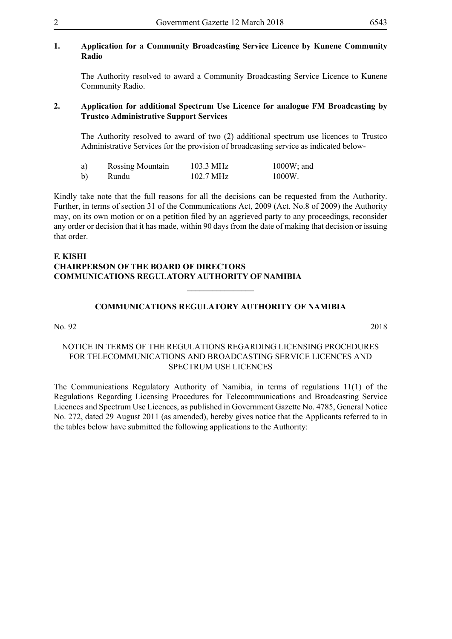#### **1. Application for a Community Broadcasting Service Licence by Kunene Community Radio**

The Authority resolved to award a Community Broadcasting Service Licence to Kunene Community Radio.

#### **2. Application for additional Spectrum Use Licence for analogue FM Broadcasting by Trustco Administrative Support Services**

The Authority resolved to award of two (2) additional spectrum use licences to Trustco Administrative Services for the provision of broadcasting service as indicated below-

| a) | <b>Rossing Mountain</b> | 103.3 MHz | $1000W$ ; and |
|----|-------------------------|-----------|---------------|
| b) | Rundu                   | 102.7 MHz | 1000W.        |

Kindly take note that the full reasons for all the decisions can be requested from the Authority. Further, in terms of section 31 of the Communications Act, 2009 (Act. No.8 of 2009) the Authority may, on its own motion or on a petition filed by an aggrieved party to any proceedings, reconsider any order or decision that it has made, within 90 days from the date of making that decision or issuing that order.

#### **F. KISHI CHAIRPERSON OF THE BOARD OF DIRECTORS COMMUNICATIONS REGULATORY AUTHORITY OF NAMIBIA**

#### **COMMUNICATIONS REGULATORY AUTHORITY OF NAMIBIA**

 $\frac{1}{2}$ 

#### No. 92 2018

#### NOTICE IN TERMS OF THE REGULATIONS REGARDING LICENSING PROCEDURES FOR TELECOMMUNICATIONS AND BROADCASTING SERVICE LICENCES AND SPECTRUM USE LICENCES

The Communications Regulatory Authority of Namibia, in terms of regulations 11(1) of the Regulations Regarding Licensing Procedures for Telecommunications and Broadcasting Service Licences and Spectrum Use Licences, as published in Government Gazette No. 4785, General Notice No. 272, dated 29 August 2011 (as amended), hereby gives notice that the Applicants referred to in the tables below have submitted the following applications to the Authority: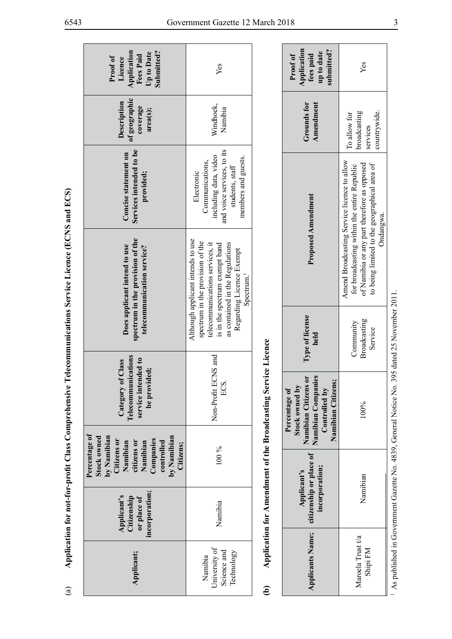| i              |      |
|----------------|------|
| $\ddot{ }$     |      |
|                |      |
|                |      |
|                |      |
|                |      |
|                |      |
|                |      |
|                |      |
|                |      |
|                |      |
| ;<br>;         |      |
|                |      |
| ļ              | ׇ֚֓֡ |
|                |      |
|                |      |
|                |      |
|                |      |
|                |      |
|                |      |
|                |      |
| $\overline{ }$ |      |
|                |      |
|                |      |
|                |      |
|                |      |
|                |      |
|                |      |
| Ì              |      |
|                |      |
|                |      |
|                |      |
|                |      |
|                |      |
|                |      |
|                |      |
|                |      |
|                |      |
|                |      |
|                |      |
|                |      |
|                |      |
|                |      |
|                |      |
|                |      |
|                |      |
|                |      |
| ĺ              | l    |
|                |      |
|                |      |
|                |      |
|                |      |
|                |      |
|                |      |
|                |      |
|                |      |
|                |      |
|                |      |
|                |      |
|                |      |
|                |      |
|                |      |
|                |      |
|                |      |
|                |      |
|                |      |
|                |      |
|                |      |
|                |      |
|                |      |
|                |      |
|                |      |
|                |      |
|                |      |
|                |      |
|                |      |
|                |      |
|                |      |
|                |      |
|                |      |
|                |      |
|                |      |
|                |      |
|                |      |
|                |      |
|                |      |
|                |      |
|                |      |
|                |      |
|                |      |
|                |      |
|                |      |
| ì              |      |
|                |      |
|                |      |
|                | I    |
|                |      |
|                |      |
|                |      |

| Application<br>Submitted?<br>Up to Date<br><b>Fees Paid</b><br>Proof of<br>Licence                                                                              | Yes                                                                                                                                                                                                                                 |                                                               | Application<br>submitted?<br>up to date<br>fees paid<br>Proof of                                                     | Yes                                                                                                                                                                                       |
|-----------------------------------------------------------------------------------------------------------------------------------------------------------------|-------------------------------------------------------------------------------------------------------------------------------------------------------------------------------------------------------------------------------------|---------------------------------------------------------------|----------------------------------------------------------------------------------------------------------------------|-------------------------------------------------------------------------------------------------------------------------------------------------------------------------------------------|
| of geographic<br>Description<br>coverage<br>area(s);                                                                                                            | Windhoek,<br>Namibia                                                                                                                                                                                                                |                                                               | Grounds for<br>Amendment                                                                                             | countrywide.<br>broadcasting<br>To allow for<br>services                                                                                                                                  |
| Services intended to be<br>Concise statement on<br>provided;                                                                                                    | and voice services, to its<br>including data, video<br>members and guests.<br>Communications,<br>students, staff<br>Electronic                                                                                                      |                                                               | <b>Proposed Amendment</b>                                                                                            | Amend Broadcasting Service licence to allow<br>of Namibia or any part therefore as opposed<br>to being limited to the geographical area of<br>for broadcasting within the entire Republic |
| spectrum in the provision of the<br>Does applicant intend to use<br>telecommunication service?                                                                  | Although applicant intends to use<br>spectrum in the provision of the<br>telecommunications services, it<br>as contained in the Regulations<br>is in the spectrum exempt band<br>Regarding Licence Exempt<br>Spectrum. <sup>1</sup> |                                                               |                                                                                                                      | Ondangwa.                                                                                                                                                                                 |
|                                                                                                                                                                 |                                                                                                                                                                                                                                     |                                                               | Type of license<br>held                                                                                              | Broadcasting<br>Community<br>Service                                                                                                                                                      |
| Telecommunications<br>service intended to<br>Class<br>be provided;<br>Category of                                                                               | Non-Profit ECNS and<br>ECS.                                                                                                                                                                                                         | Application for Amendment of the Broadcasting Service Licence | Namibian Companies<br>Namibian Citizens or<br>Namibian Citizens;<br>Stock owned by<br>Percentage of<br>Controlled by | 100%                                                                                                                                                                                      |
| Percentage of<br>by Namibian<br>by Namibian<br><b>Stock owned</b><br>Companies<br>Citizens or<br>Namibian<br>citizens or<br>Namibian<br>controlled<br>Citizens; | 100 %                                                                                                                                                                                                                               |                                                               |                                                                                                                      |                                                                                                                                                                                           |
| incorporation;<br>Applicant's<br>Citizenship<br>or place of                                                                                                     | Namibia                                                                                                                                                                                                                             |                                                               | citizenship or place of<br>incorporation;<br>Applicant's                                                             | Namibian                                                                                                                                                                                  |
| Applicant;                                                                                                                                                      | University of<br>Science and<br>Technology<br>Namibia                                                                                                                                                                               | ව                                                             | <b>Applicants Name;</b>                                                                                              | Maroela Trust t/a<br>Shipi FM                                                                                                                                                             |

| <b>Application</b><br>ubmitted?<br>up to date<br>Proof of<br>fees paid                                                        | Yes                                                                                                                                                                                                    |  |
|-------------------------------------------------------------------------------------------------------------------------------|--------------------------------------------------------------------------------------------------------------------------------------------------------------------------------------------------------|--|
| Grounds for<br>Amendment                                                                                                      | roadcasting<br>countrywide.<br>To allow for<br>services                                                                                                                                                |  |
| Proposed Amendment                                                                                                            | Amend Broadcasting Service licence to allow<br>of Namibia or any part therefore as opposed<br>to being limited to the geographical area of<br>for broadcasting within the entire Republic<br>Ondangwa. |  |
| Type of license<br>held                                                                                                       | Broadcasting<br>Community<br>Service                                                                                                                                                                   |  |
| Vamibian Companies<br>ð<br>Namibian Citizens;<br>Stock owned by<br><b>Namibian Citizens</b><br>Controlled by<br>Percentage of | 100%                                                                                                                                                                                                   |  |
| citizenship or place of<br>incorporation;<br>Applicant's                                                                      | Namibian                                                                                                                                                                                               |  |
| Applicants Name;                                                                                                              | Maroela Trust t/a<br>Shipi FM                                                                                                                                                                          |  |

As published in Government Gazette No. 4839, General Notice No. 395 dated 25 November 2011. 1 As published in Government Gazette No. 4839, General Notice No. 395 dated 25 November 2011.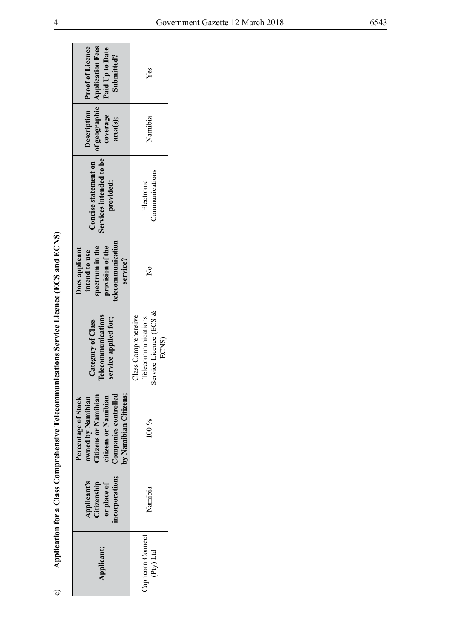| ļ |
|---|
| ļ |
|   |
|   |
|   |
|   |
|   |
|   |
|   |
| I |
|   |
|   |
|   |
|   |
|   |
|   |
|   |
|   |
|   |
|   |
|   |
|   |
|   |
|   |
|   |
|   |
|   |
|   |
|   |
|   |
|   |
|   |
|   |
|   |
| I |
|   |
|   |
|   |
|   |
|   |
|   |
|   |
|   |
|   |
|   |
|   |
|   |
|   |
|   |
|   |
|   |
|   |
|   |
| i |
|   |
|   |
|   |
|   |
|   |
|   |
|   |
|   |
|   |
|   |
|   |
|   |
|   |
|   |
|   |
|   |
| l |
| l |
|   |
|   |

|                                                                                         | Description Proof of Licence<br>of geographic   Application Fees<br>Paid Up to Date<br>Submitted?                                         | $Y$ es                                                                           |
|-----------------------------------------------------------------------------------------|-------------------------------------------------------------------------------------------------------------------------------------------|----------------------------------------------------------------------------------|
|                                                                                         | coverage<br>area(s);                                                                                                                      | Namibia                                                                          |
|                                                                                         | Services intended to be<br>Concise statement on<br>provided;                                                                              | Communications<br>Electronic                                                     |
|                                                                                         | telecommunication<br>spectrum in the<br>provision of the<br>Does applicant<br>intend to use<br>service?                                   | $\overset{\circ}{\mathsf{z}}$                                                    |
| Application for a Class Comprehensive Telecommunications Service Licence (ECS and ECNS) | <b>Telecommunications</b><br>service applied for;<br>Category of Class                                                                    | ervice Licence (ECS &<br>Class Comprehensive<br>Telecommunications<br>ECNS)<br>Ō |
|                                                                                         | by Namibian Citizens;<br>Companies controlled<br>Citizens or Namibian<br>citizens or Namibian<br>owned by Namibian<br>Percentage of Stock | $100\%$                                                                          |
|                                                                                         | incorporation;<br>Applicant's<br>Citizenship<br>or place of                                                                               | Namibia                                                                          |
|                                                                                         | Applicant;                                                                                                                                | Capricorn Connect<br>(Pty) Ltd                                                   |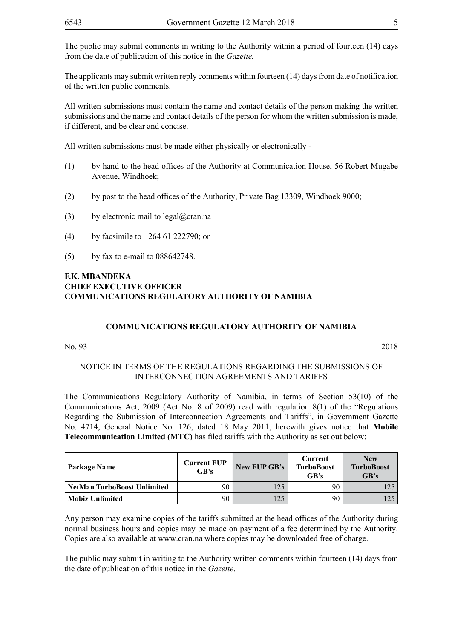The public may submit comments in writing to the Authority within a period of fourteen (14) days from the date of publication of this notice in the *Gazette.* 

The applicants may submit written reply comments within fourteen (14) days from date of notification of the written public comments.

All written submissions must contain the name and contact details of the person making the written submissions and the name and contact details of the person for whom the written submission is made, if different, and be clear and concise.

All written submissions must be made either physically or electronically -

- (1) by hand to the head offices of the Authority at Communication House, 56 Robert Mugabe Avenue, Windhoek;
- (2) by post to the head offices of the Authority, Private Bag 13309, Windhoek 9000;
- (3) by electronic mail to  $\text{legal@cran.na}$
- (4) by facsimile to +264 61 222790; or
- (5) by fax to e-mail to 088642748.

#### **F.K. MBANDEKA CHIEF EXECUTIVE OFFICER COMMUNICATIONS REGULATORY AUTHORITY OF NAMIBIA**

#### **COMMUNICATIONS REGULATORY AUTHORITY OF NAMIBIA**

 $\overline{\phantom{a}}$  , where  $\overline{\phantom{a}}$ 

No. 93 2018

#### NOTICE IN TERMS OF THE REGULATIONS REGARDING THE SUBMISSIONS OF INTERCONNECTION AGREEMENTS AND TARIFFS

The Communications Regulatory Authority of Namibia, in terms of Section 53(10) of the Communications Act, 2009 (Act No. 8 of 2009) read with regulation 8(1) of the "Regulations Regarding the Submission of Interconnection Agreements and Tariffs", in Government Gazette No. 4714, General Notice No. 126, dated 18 May 2011, herewith gives notice that **Mobile Telecommunication Limited (MTC)** has filed tariffs with the Authority as set out below:

| Package Name                       | <b>Current FUP</b><br>GB's | New FUP GB's | Current<br><b>TurboBoost</b><br>GB's | <b>New</b><br><b>TurboBoost</b><br>GB's |
|------------------------------------|----------------------------|--------------|--------------------------------------|-----------------------------------------|
| <b>NetMan TurboBoost Unlimited</b> | 90                         | 125          | 90                                   |                                         |
| <b>Mobiz Unlimited</b>             | 90                         | 125          | 90                                   |                                         |

Any person may examine copies of the tariffs submitted at the head offices of the Authority during normal business hours and copies may be made on payment of a fee determined by the Authority. Copies are also available at www.cran.na where copies may be downloaded free of charge.

The public may submit in writing to the Authority written comments within fourteen (14) days from the date of publication of this notice in the *Gazette*.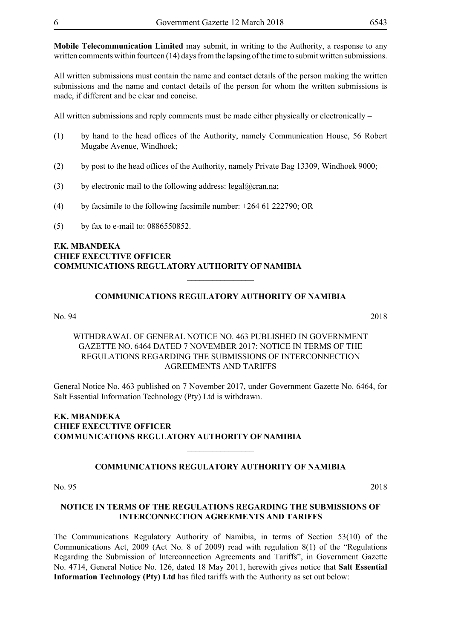**Mobile Telecommunication Limited** may submit, in writing to the Authority, a response to any written comments within fourteen (14) days from the lapsing of the time to submit written submissions.

All written submissions must contain the name and contact details of the person making the written submissions and the name and contact details of the person for whom the written submissions is made, if different and be clear and concise.

All written submissions and reply comments must be made either physically or electronically –

- (1) by hand to the head offices of the Authority, namely Communication House, 56 Robert Mugabe Avenue, Windhoek;
- (2) by post to the head offices of the Authority, namely Private Bag 13309, Windhoek 9000;
- (3) by electronic mail to the following address:  $\text{legal}(\mathcal{Q})$  cran.na;
- (4) by facsimile to the following facsimile number:  $+264\,61\,222790$ ; OR
- (5) by fax to e-mail to: 0886550852.

#### **F.K. MBANDEKA CHIEF EXECUTIVE OFFICER COMMUNICATIONS REGULATORY AUTHORITY OF NAMIBIA**

### **COMMUNICATIONS REGULATORY AUTHORITY OF NAMIBIA**

 $\overline{\phantom{a}}$  , where  $\overline{\phantom{a}}$ 

No. 94 2018

#### WITHDRAWAL OF General NOTICE NO. 463 PUBLISHED IN GOVERNMENT GAZETTE NO. 6464 DATED 7 NOVEMBER 2017: NOTICE IN TERMS OF THE REGULATIONS REGARDING THE SUBMISSIONS OF INTERCONNECTION AGREEMENTS AND TARIFFS

General Notice No. 463 published on 7 November 2017, under Government Gazette No. 6464, for Salt Essential Information Technology (Pty) Ltd is withdrawn.

#### **F.K. MBANDEKA CHIEF EXECUTIVE OFFICER COMMUNICATIONS REGULATORY AUTHORITY OF NAMIBIA**

#### **COMMUNICATIONS REGULATORY AUTHORITY OF NAMIBIA**

 $\frac{1}{2}$ 

No. 95 2018

#### **NOTICE IN TERMS OF THE REGULATIONS REGARDING THE SUBMISSIONS OF INTERCONNECTION AGREEMENTS AND TARIFFS**

The Communications Regulatory Authority of Namibia, in terms of Section 53(10) of the Communications Act, 2009 (Act No. 8 of 2009) read with regulation 8(1) of the "Regulations Regarding the Submission of Interconnection Agreements and Tariffs", in Government Gazette No. 4714, General Notice No. 126, dated 18 May 2011, herewith gives notice that **Salt Essential Information Technology (Pty) Ltd** has filed tariffs with the Authority as set out below: